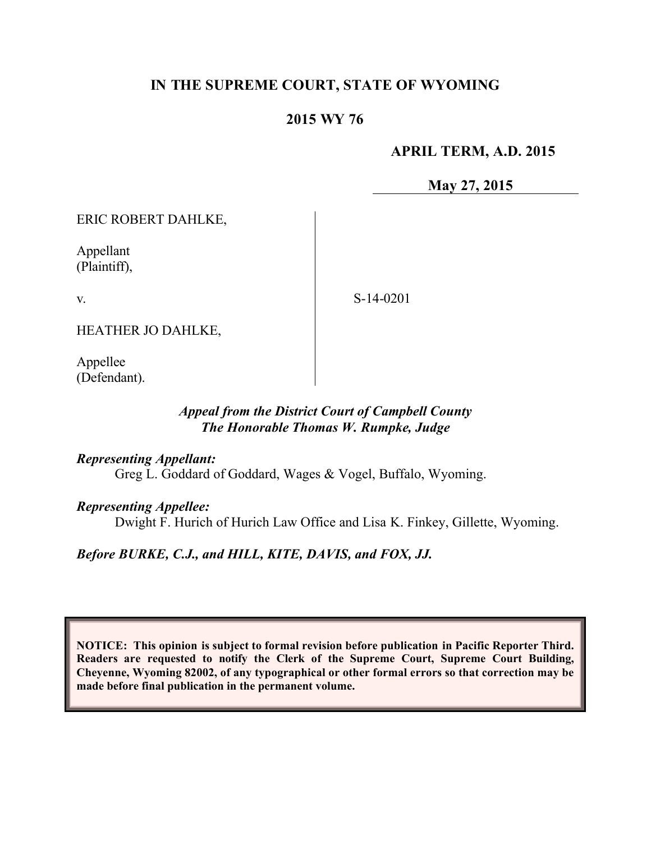# **IN THE SUPREME COURT, STATE OF WYOMING**

### **2015 WY 76**

### **APRIL TERM, A.D. 2015**

**May 27, 2015**

ERIC ROBERT DAHLKE,

Appellant (Plaintiff),

v.

S-14-0201

HEATHER JO DAHLKE,

Appellee (Defendant).

### *Appeal from the District Court of Campbell County The Honorable Thomas W. Rumpke, Judge*

#### *Representing Appellant:*

Greg L. Goddard of Goddard, Wages & Vogel, Buffalo, Wyoming.

#### *Representing Appellee:*

Dwight F. Hurich of Hurich Law Office and Lisa K. Finkey, Gillette, Wyoming.

*Before BURKE, C.J., and HILL, KITE, DAVIS, and FOX, JJ.*

**NOTICE: This opinion is subject to formal revision before publication in Pacific Reporter Third. Readers are requested to notify the Clerk of the Supreme Court, Supreme Court Building, Cheyenne, Wyoming 82002, of any typographical or other formal errors so that correction may be made before final publication in the permanent volume.**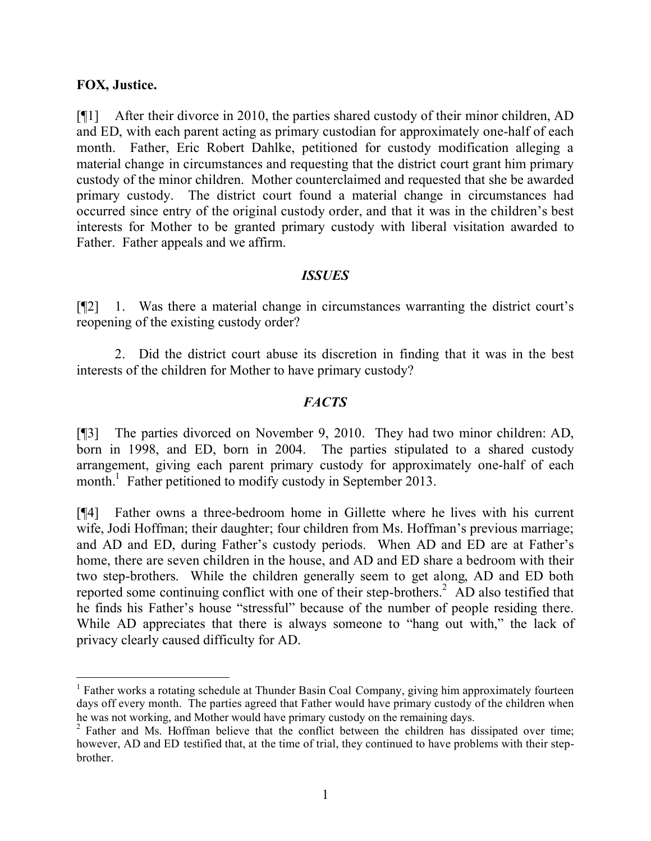### **FOX, Justice.**

[¶1] After their divorce in 2010, the parties shared custody of their minor children, AD and ED, with each parent acting as primary custodian for approximately one-half of each month. Father, Eric Robert Dahlke, petitioned for custody modification alleging a material change in circumstances and requesting that the district court grant him primary custody of the minor children. Mother counterclaimed and requested that she be awarded primary custody. The district court found a material change in circumstances had occurred since entry of the original custody order, and that it was in the children's best interests for Mother to be granted primary custody with liberal visitation awarded to Father. Father appeals and we affirm.

### *ISSUES*

[¶2] 1. Was there a material change in circumstances warranting the district court's reopening of the existing custody order?

2. Did the district court abuse its discretion in finding that it was in the best interests of the children for Mother to have primary custody?

### *FACTS*

[¶3] The parties divorced on November 9, 2010. They had two minor children: AD, born in 1998, and ED, born in 2004. The parties stipulated to a shared custody arrangement, giving each parent primary custody for approximately one-half of each month.<sup>1</sup> Father petitioned to modify custody in September 2013.

[¶4] Father owns a three-bedroom home in Gillette where he lives with his current wife, Jodi Hoffman; their daughter; four children from Ms. Hoffman's previous marriage; and AD and ED, during Father's custody periods. When AD and ED are at Father's home, there are seven children in the house, and AD and ED share a bedroom with their two step-brothers. While the children generally seem to get along, AD and ED both reported some continuing conflict with one of their step-brothers.<sup>2</sup> AD also testified that he finds his Father's house "stressful" because of the number of people residing there. While AD appreciates that there is always someone to "hang out with," the lack of privacy clearly caused difficulty for AD.

<sup>&</sup>lt;sup>1</sup> Father works a rotating schedule at Thunder Basin Coal Company, giving him approximately fourteen days off every month. The parties agreed that Father would have primary custody of the children when he was not working, and Mother would have primary custody on the remaining days.

<sup>&</sup>lt;sup>2</sup> Father and Ms. Hoffman believe that the conflict between the children has dissipated over time; however, AD and ED testified that, at the time of trial, they continued to have problems with their stepbrother.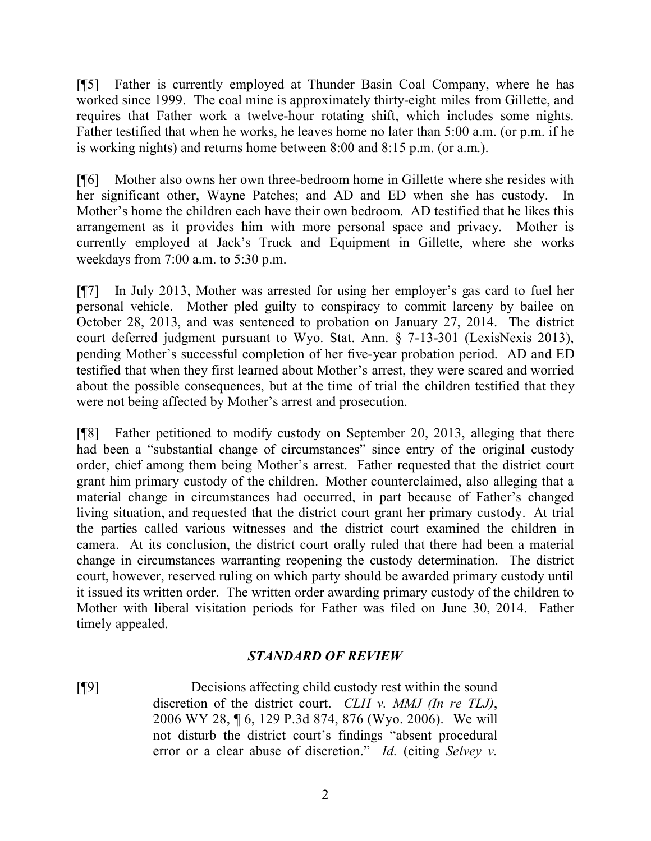[¶5] Father is currently employed at Thunder Basin Coal Company, where he has worked since 1999. The coal mine is approximately thirty-eight miles from Gillette, and requires that Father work a twelve-hour rotating shift, which includes some nights. Father testified that when he works, he leaves home no later than 5:00 a.m. (or p.m. if he is working nights) and returns home between 8:00 and 8:15 p.m. (or a.m.).

[¶6] Mother also owns her own three-bedroom home in Gillette where she resides with her significant other, Wayne Patches; and AD and ED when she has custody. In Mother's home the children each have their own bedroom. AD testified that he likes this arrangement as it provides him with more personal space and privacy. Mother is currently employed at Jack's Truck and Equipment in Gillette, where she works weekdays from 7:00 a.m. to 5:30 p.m.

[¶7] In July 2013, Mother was arrested for using her employer's gas card to fuel her personal vehicle. Mother pled guilty to conspiracy to commit larceny by bailee on October 28, 2013, and was sentenced to probation on January 27, 2014. The district court deferred judgment pursuant to Wyo. Stat. Ann. § 7-13-301 (LexisNexis 2013), pending Mother's successful completion of her five-year probation period. AD and ED testified that when they first learned about Mother's arrest, they were scared and worried about the possible consequences, but at the time of trial the children testified that they were not being affected by Mother's arrest and prosecution.

[¶8] Father petitioned to modify custody on September 20, 2013, alleging that there had been a "substantial change of circumstances" since entry of the original custody order, chief among them being Mother's arrest. Father requested that the district court grant him primary custody of the children. Mother counterclaimed, also alleging that a material change in circumstances had occurred, in part because of Father's changed living situation, and requested that the district court grant her primary custody. At trial the parties called various witnesses and the district court examined the children in camera. At its conclusion, the district court orally ruled that there had been a material change in circumstances warranting reopening the custody determination. The district court, however, reserved ruling on which party should be awarded primary custody until it issued its written order. The written order awarding primary custody of the children to Mother with liberal visitation periods for Father was filed on June 30, 2014. Father timely appealed.

### *STANDARD OF REVIEW*

[¶9] Decisions affecting child custody rest within the sound discretion of the district court. *CLH v. MMJ (In re TLJ)*, 2006 WY 28, ¶ 6, 129 P.3d 874, 876 (Wyo. 2006). We will not disturb the district court's findings "absent procedural error or a clear abuse of discretion." *Id.* (citing *Selvey v.*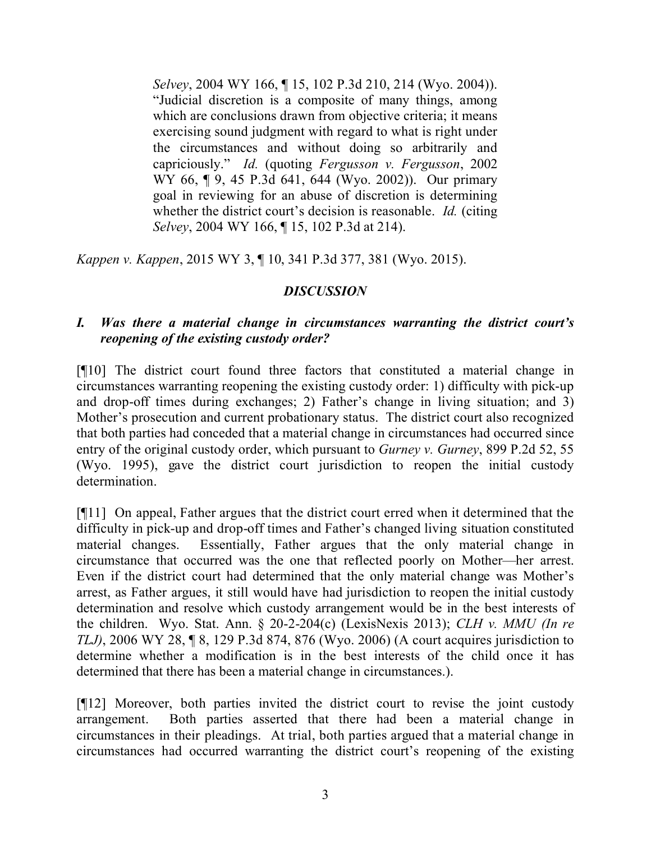*Selvey*, 2004 WY 166, ¶ 15, 102 P.3d 210, 214 (Wyo. 2004)). "Judicial discretion is a composite of many things, among which are conclusions drawn from objective criteria; it means exercising sound judgment with regard to what is right under the circumstances and without doing so arbitrarily and capriciously." *Id.* (quoting *Fergusson v. Fergusson*, 2002 WY 66, ¶ 9, 45 P.3d 641, 644 (Wyo. 2002)). Our primary goal in reviewing for an abuse of discretion is determining whether the district court's decision is reasonable. *Id.* (citing *Selvey*, 2004 WY 166, ¶ 15, 102 P.3d at 214).

*Kappen v. Kappen*, 2015 WY 3, ¶ 10, 341 P.3d 377, 381 (Wyo. 2015).

# *DISCUSSION*

## *I. Was there a material change in circumstances warranting the district court's reopening of the existing custody order?*

[¶10] The district court found three factors that constituted a material change in circumstances warranting reopening the existing custody order: 1) difficulty with pick-up and drop-off times during exchanges; 2) Father's change in living situation; and 3) Mother's prosecution and current probationary status. The district court also recognized that both parties had conceded that a material change in circumstances had occurred since entry of the original custody order, which pursuant to *Gurney v. Gurney*, 899 P.2d 52, 55 (Wyo. 1995), gave the district court jurisdiction to reopen the initial custody determination.

[¶11] On appeal, Father argues that the district court erred when it determined that the difficulty in pick-up and drop-off times and Father's changed living situation constituted material changes. Essentially, Father argues that the only material change in circumstance that occurred was the one that reflected poorly on Mother—her arrest. Even if the district court had determined that the only material change was Mother's arrest, as Father argues, it still would have had jurisdiction to reopen the initial custody determination and resolve which custody arrangement would be in the best interests of the children. Wyo. Stat. Ann. § 20-2-204(c) (LexisNexis 2013); *CLH v. MMU (In re TLJ)*, 2006 WY 28, ¶ 8, 129 P.3d 874, 876 (Wyo. 2006) (A court acquires jurisdiction to determine whether a modification is in the best interests of the child once it has determined that there has been a material change in circumstances.).

[¶12] Moreover, both parties invited the district court to revise the joint custody arrangement. Both parties asserted that there had been a material change in circumstances in their pleadings. At trial, both parties argued that a material change in circumstances had occurred warranting the district court's reopening of the existing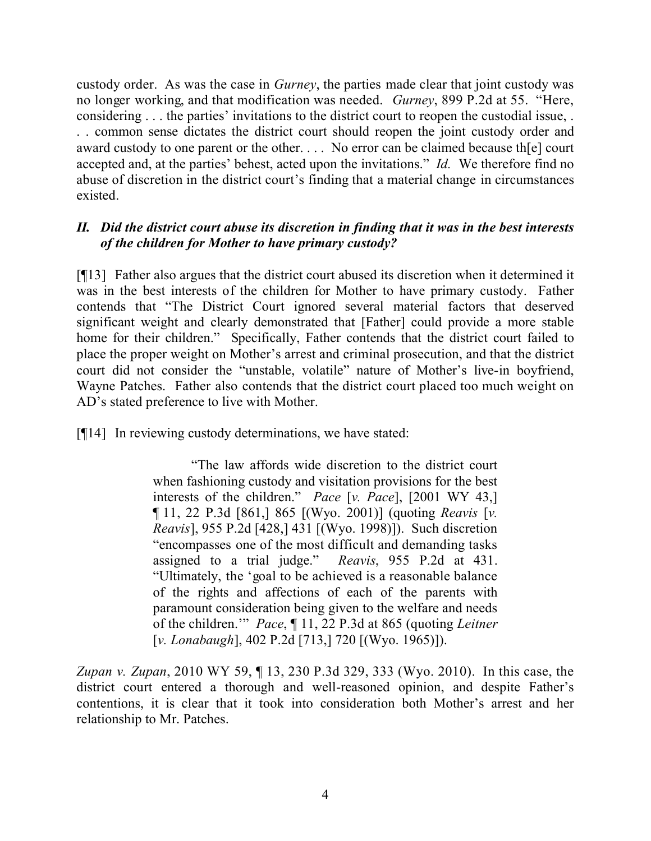custody order. As was the case in *Gurney*, the parties made clear that joint custody was no longer working, and that modification was needed. *Gurney*, 899 P.2d at 55. "Here, considering . . . the parties' invitations to the district court to reopen the custodial issue, . . . common sense dictates the district court should reopen the joint custody order and award custody to one parent or the other. . . . No error can be claimed because th[e] court accepted and, at the parties' behest, acted upon the invitations." *Id.* We therefore find no abuse of discretion in the district court's finding that a material change in circumstances existed.

## *II. Did the district court abuse its discretion in finding that it was in the best interests of the children for Mother to have primary custody?*

[¶13] Father also argues that the district court abused its discretion when it determined it was in the best interests of the children for Mother to have primary custody. Father contends that "The District Court ignored several material factors that deserved significant weight and clearly demonstrated that [Father] could provide a more stable home for their children." Specifically, Father contends that the district court failed to place the proper weight on Mother's arrest and criminal prosecution, and that the district court did not consider the "unstable, volatile" nature of Mother's live-in boyfriend, Wayne Patches. Father also contends that the district court placed too much weight on AD's stated preference to live with Mother.

[¶14] In reviewing custody determinations, we have stated:

"The law affords wide discretion to the district court when fashioning custody and visitation provisions for the best interests of the children." *Pace* [*v. Pace*], [2001 WY 43,] ¶ 11, 22 P.3d [861,] 865 [(Wyo. 2001)] (quoting *Reavis* [*v. Reavis*], 955 P.2d [428,] 431 [(Wyo. 1998)]). Such discretion "encompasses one of the most difficult and demanding tasks assigned to a trial judge." *Reavis*, 955 P.2d at 431. "Ultimately, the 'goal to be achieved is a reasonable balance of the rights and affections of each of the parents with paramount consideration being given to the welfare and needs of the children.'" *Pace*, ¶ 11, 22 P.3d at 865 (quoting *Leitner* [*v. Lonabaugh*], 402 P.2d [713,] 720 [(Wyo. 1965)]).

*Zupan v. Zupan*, 2010 WY 59, ¶ 13, 230 P.3d 329, 333 (Wyo. 2010). In this case, the district court entered a thorough and well-reasoned opinion, and despite Father's contentions, it is clear that it took into consideration both Mother's arrest and her relationship to Mr. Patches.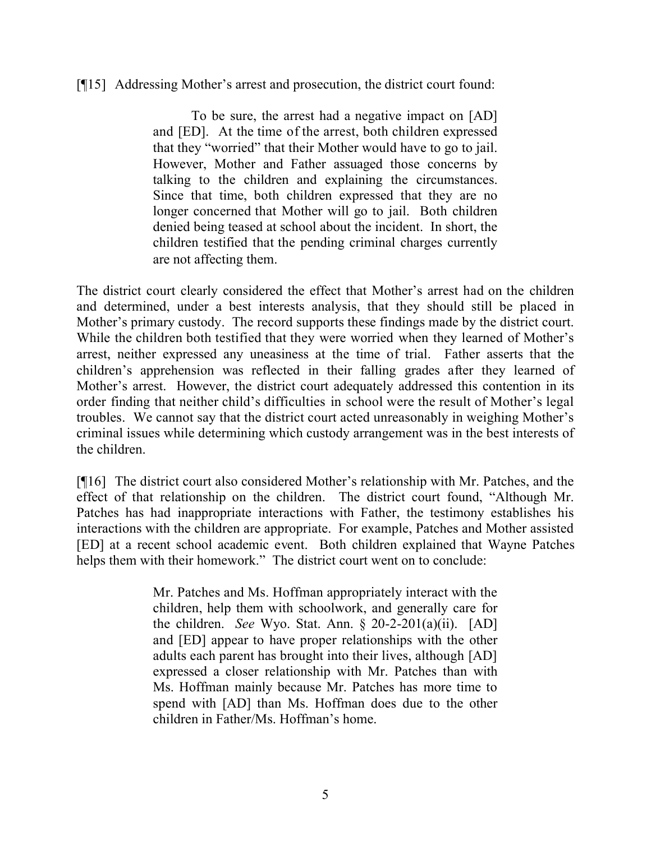### [¶15] Addressing Mother's arrest and prosecution, the district court found:

To be sure, the arrest had a negative impact on [AD] and [ED]. At the time of the arrest, both children expressed that they "worried" that their Mother would have to go to jail. However, Mother and Father assuaged those concerns by talking to the children and explaining the circumstances. Since that time, both children expressed that they are no longer concerned that Mother will go to jail. Both children denied being teased at school about the incident. In short, the children testified that the pending criminal charges currently are not affecting them.

The district court clearly considered the effect that Mother's arrest had on the children and determined, under a best interests analysis, that they should still be placed in Mother's primary custody. The record supports these findings made by the district court. While the children both testified that they were worried when they learned of Mother's arrest, neither expressed any uneasiness at the time of trial. Father asserts that the children's apprehension was reflected in their falling grades after they learned of Mother's arrest. However, the district court adequately addressed this contention in its order finding that neither child's difficulties in school were the result of Mother's legal troubles. We cannot say that the district court acted unreasonably in weighing Mother's criminal issues while determining which custody arrangement was in the best interests of the children.

[¶16] The district court also considered Mother's relationship with Mr. Patches, and the effect of that relationship on the children. The district court found, "Although Mr. Patches has had inappropriate interactions with Father, the testimony establishes his interactions with the children are appropriate. For example, Patches and Mother assisted [ED] at a recent school academic event. Both children explained that Wayne Patches helps them with their homework." The district court went on to conclude:

> Mr. Patches and Ms. Hoffman appropriately interact with the children, help them with schoolwork, and generally care for the children. *See* Wyo. Stat. Ann. § 20-2-201(a)(ii). [AD] and [ED] appear to have proper relationships with the other adults each parent has brought into their lives, although [AD] expressed a closer relationship with Mr. Patches than with Ms. Hoffman mainly because Mr. Patches has more time to spend with [AD] than Ms. Hoffman does due to the other children in Father/Ms. Hoffman's home.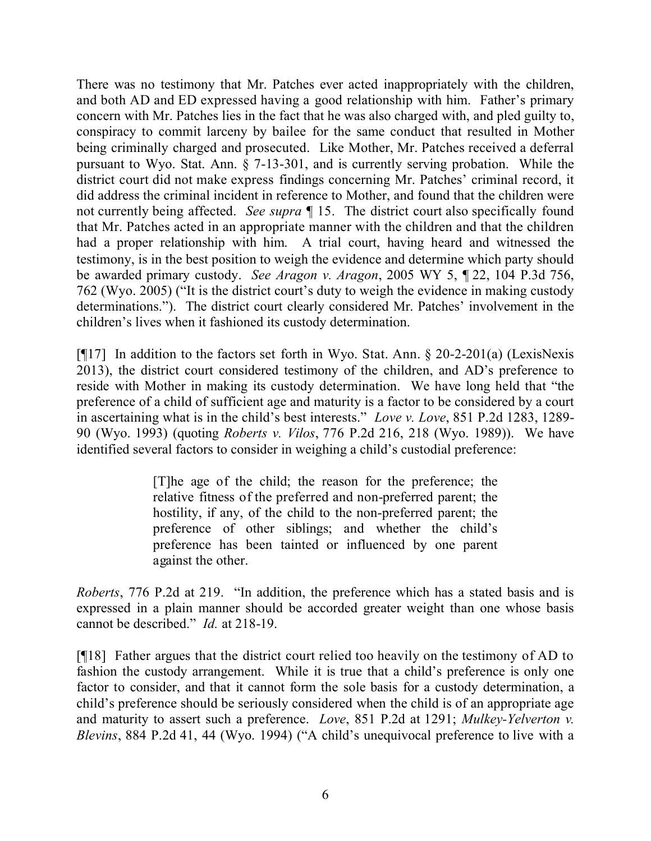There was no testimony that Mr. Patches ever acted inappropriately with the children, and both AD and ED expressed having a good relationship with him. Father's primary concern with Mr. Patches lies in the fact that he was also charged with, and pled guilty to, conspiracy to commit larceny by bailee for the same conduct that resulted in Mother being criminally charged and prosecuted. Like Mother, Mr. Patches received a deferral pursuant to Wyo. Stat. Ann. § 7-13-301, and is currently serving probation. While the district court did not make express findings concerning Mr. Patches' criminal record, it did address the criminal incident in reference to Mother, and found that the children were not currently being affected. *See supra* ¶ 15. The district court also specifically found that Mr. Patches acted in an appropriate manner with the children and that the children had a proper relationship with him. A trial court, having heard and witnessed the testimony, is in the best position to weigh the evidence and determine which party should be awarded primary custody. *See Aragon v. Aragon*, 2005 WY 5, ¶ 22, 104 P.3d 756, 762 (Wyo. 2005) ("It is the district court's duty to weigh the evidence in making custody determinations."). The district court clearly considered Mr. Patches' involvement in the children's lives when it fashioned its custody determination.

[¶17] In addition to the factors set forth in Wyo. Stat. Ann. § 20-2-201(a) (LexisNexis 2013), the district court considered testimony of the children, and AD's preference to reside with Mother in making its custody determination. We have long held that "the preference of a child of sufficient age and maturity is a factor to be considered by a court in ascertaining what is in the child's best interests." *Love v. Love*, 851 P.2d 1283, 1289- 90 (Wyo. 1993) (quoting *Roberts v. Vilos*, 776 P.2d 216, 218 (Wyo. 1989)). We have identified several factors to consider in weighing a child's custodial preference:

> [T]he age of the child; the reason for the preference; the relative fitness of the preferred and non-preferred parent; the hostility, if any, of the child to the non-preferred parent; the preference of other siblings; and whether the child's preference has been tainted or influenced by one parent against the other.

*Roberts*, 776 P.2d at 219. "In addition, the preference which has a stated basis and is expressed in a plain manner should be accorded greater weight than one whose basis cannot be described." *Id.* at 218-19.

[¶18] Father argues that the district court relied too heavily on the testimony of AD to fashion the custody arrangement. While it is true that a child's preference is only one factor to consider, and that it cannot form the sole basis for a custody determination, a child's preference should be seriously considered when the child is of an appropriate age and maturity to assert such a preference. *Love*, 851 P.2d at 1291; *Mulkey-Yelverton v. Blevins*, 884 P.2d 41, 44 (Wyo. 1994) ("A child's unequivocal preference to live with a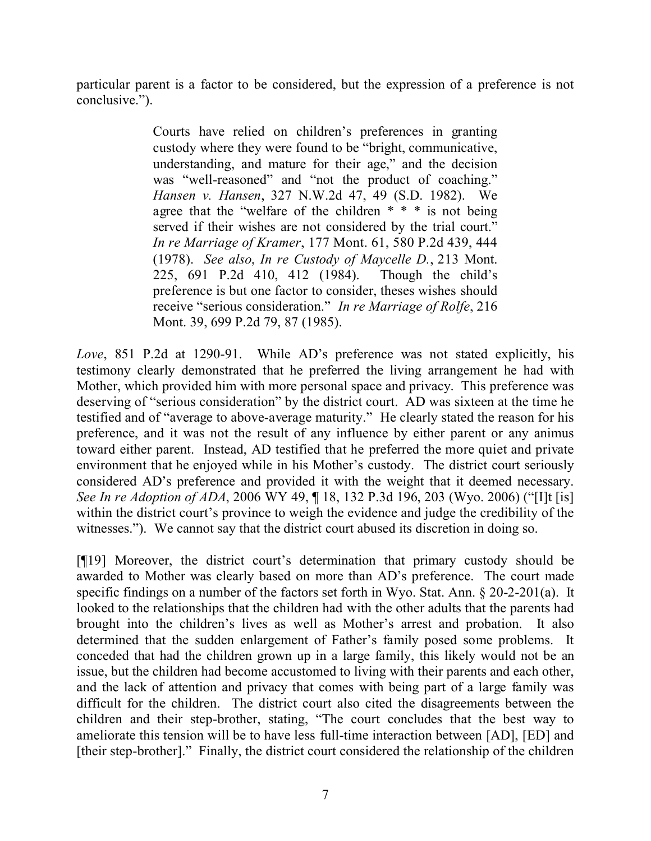particular parent is a factor to be considered, but the expression of a preference is not conclusive.").

> Courts have relied on children's preferences in granting custody where they were found to be "bright, communicative, understanding, and mature for their age," and the decision was "well-reasoned" and "not the product of coaching." *Hansen v. Hansen*, 327 N.W.2d 47, 49 (S.D. 1982). We agree that the "welfare of the children  $* * *$  is not being served if their wishes are not considered by the trial court." *In re Marriage of Kramer*, 177 Mont. 61, 580 P.2d 439, 444 (1978). *See also*, *In re Custody of Maycelle D.*, 213 Mont. 225, 691 P.2d 410, 412 (1984). Though the child's preference is but one factor to consider, theses wishes should receive "serious consideration." *In re Marriage of Rolfe*, 216 Mont. 39, 699 P.2d 79, 87 (1985).

*Love*, 851 P.2d at 1290-91. While AD's preference was not stated explicitly, his testimony clearly demonstrated that he preferred the living arrangement he had with Mother, which provided him with more personal space and privacy. This preference was deserving of "serious consideration" by the district court. AD was sixteen at the time he testified and of "average to above-average maturity." He clearly stated the reason for his preference, and it was not the result of any influence by either parent or any animus toward either parent. Instead, AD testified that he preferred the more quiet and private environment that he enjoyed while in his Mother's custody. The district court seriously considered AD's preference and provided it with the weight that it deemed necessary. *See In re Adoption of ADA*, 2006 WY 49, 13, 132 P.3d 196, 203 (Wyo. 2006) ("[I]t [is] within the district court's province to weigh the evidence and judge the credibility of the witnesses."). We cannot say that the district court abused its discretion in doing so.

[¶19] Moreover, the district court's determination that primary custody should be awarded to Mother was clearly based on more than AD's preference. The court made specific findings on a number of the factors set forth in Wyo. Stat. Ann. § 20-2-201(a). It looked to the relationships that the children had with the other adults that the parents had brought into the children's lives as well as Mother's arrest and probation. It also determined that the sudden enlargement of Father's family posed some problems. It conceded that had the children grown up in a large family, this likely would not be an issue, but the children had become accustomed to living with their parents and each other, and the lack of attention and privacy that comes with being part of a large family was difficult for the children. The district court also cited the disagreements between the children and their step-brother, stating, "The court concludes that the best way to ameliorate this tension will be to have less full-time interaction between [AD], [ED] and [their step-brother]." Finally, the district court considered the relationship of the children